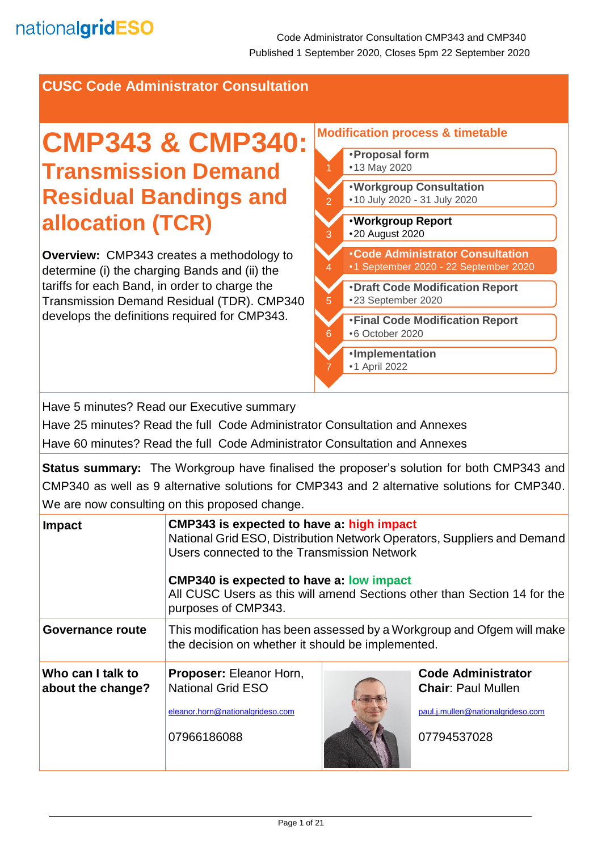**CUSC Code Administrator Consultation**

# **CMP343 & CMP340: Transmission Demand Residual Bandings and allocation (TCR)**

**Overview:** CMP343 creates a methodology to determine (i) the charging Bands and (ii) the tariffs for each Band, in order to charge the Transmission Demand Residual (TDR). CMP340 develops the definitions required for CMP343.

#### **Modification process & timetable**  •**Proposal form** •13 May 2020 2 •**Code Administrator Consultation** •1 September 2020 - 22 September 2020 3 •**Workgroup Report**  •20 August 2020 4 •**Workgroup Consultation** •10 July 2020 - 31 July 2020 5 •**Draft Code Modification Report** •23 September 2020 k. •**Final Code Modification Report** •6 October 2020 7 •**Implementation** •1 April 2022

Have 5 minutes? Read our Executive summary

Have 25 minutes? Read the full Code Administrator Consultation and Annexes

Have 60 minutes? Read the full Code Administrator Consultation and Annexes

**Status summary:** The Workgroup have finalised the proposer's solution for both CMP343 and CMP340 as well as 9 alternative solutions for CMP343 and 2 alternative solutions for CMP340. We are now consulting on this proposed change.

| <b>Impact</b>                          | CMP343 is expected to have a: high impact<br>National Grid ESO, Distribution Network Operators, Suppliers and Demand<br>Users connected to the Transmission Network<br><b>CMP340 is expected to have a: low impact</b><br>All CUSC Users as this will amend Sections other than Section 14 for the<br>purposes of CMP343. |  |                                                                                                            |
|----------------------------------------|---------------------------------------------------------------------------------------------------------------------------------------------------------------------------------------------------------------------------------------------------------------------------------------------------------------------------|--|------------------------------------------------------------------------------------------------------------|
| Governance route                       | This modification has been assessed by a Workgroup and Ofgem will make<br>the decision on whether it should be implemented.                                                                                                                                                                                               |  |                                                                                                            |
| Who can I talk to<br>about the change? | Proposer: Eleanor Horn,<br><b>National Grid ESO</b><br>eleanor.horn@nationalgrideso.com<br>07966186088                                                                                                                                                                                                                    |  | <b>Code Administrator</b><br><b>Chair: Paul Mullen</b><br>paul.j.mullen@nationalgrideso.com<br>07794537028 |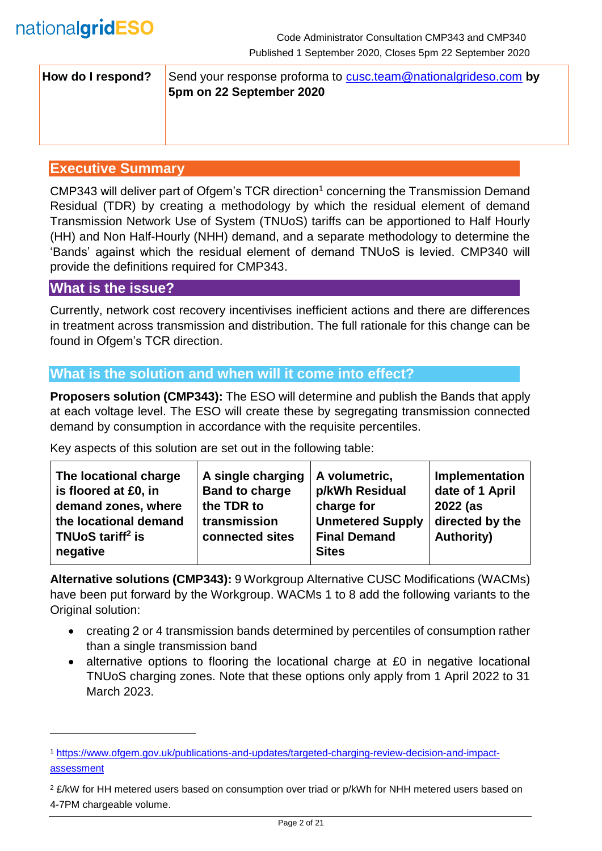| How do I respond? | Send your response proforma to cusc.team@nationalgrideso.com by<br>5pm on 22 September 2020 |
|-------------------|---------------------------------------------------------------------------------------------|
|                   |                                                                                             |

### **Executive Summary**

CMP343 will deliver part of Ofgem's TCR direction<sup>1</sup> concerning the Transmission Demand Residual (TDR) by creating a methodology by which the residual element of demand Transmission Network Use of System (TNUoS) tariffs can be apportioned to Half Hourly (HH) and Non Half-Hourly (NHH) demand, and a separate methodology to determine the 'Bands' against which the residual element of demand TNUoS is levied. CMP340 will provide the definitions required for CMP343.

### **What is the issue?**

l

Currently, network cost recovery incentivises inefficient actions and there are differences in treatment across transmission and distribution. The full rationale for this change can be found in Ofgem's TCR direction.

# **What is the solution and when will it come into effect?**

**Proposers solution (CMP343):** The ESO will determine and publish the Bands that apply at each voltage level. The ESO will create these by segregating transmission connected demand by consumption in accordance with the requisite percentiles.

Key aspects of this solution are set out in the following table:

| The locational charge<br>is floored at £0, in<br>demand zones, where<br>the locational demand | A single charging<br><b>Band to charge</b><br>the TDR to<br>transmission | A volumetric,<br>p/kWh Residual<br>charge for<br><b>Unmetered Supply</b> | Implementation<br>date of 1 April<br>2022 (as<br>directed by the |
|-----------------------------------------------------------------------------------------------|--------------------------------------------------------------------------|--------------------------------------------------------------------------|------------------------------------------------------------------|
| TNU <sub>o</sub> S tariff <sup>2</sup> is                                                     | connected sites                                                          | <b>Final Demand</b>                                                      | <b>Authority)</b>                                                |
| negative                                                                                      |                                                                          | <b>Sites</b>                                                             |                                                                  |

**Alternative solutions (CMP343):** 9 Workgroup Alternative CUSC Modifications (WACMs) have been put forward by the Workgroup. WACMs 1 to 8 add the following variants to the Original solution:

- creating 2 or 4 transmission bands determined by percentiles of consumption rather than a single transmission band
- alternative options to flooring the locational charge at £0 in negative locational TNUoS charging zones. Note that these options only apply from 1 April 2022 to 31 March 2023.

<sup>1</sup> [https://www.ofgem.gov.uk/publications-and-updates/targeted-charging-review-decision-and-impact](https://www.ofgem.gov.uk/publications-and-updates/targeted-charging-review-decision-and-impact-assessment)[assessment](https://www.ofgem.gov.uk/publications-and-updates/targeted-charging-review-decision-and-impact-assessment)

<sup>&</sup>lt;sup>2</sup> £/kW for HH metered users based on consumption over triad or p/kWh for NHH metered users based on 4-7PM chargeable volume.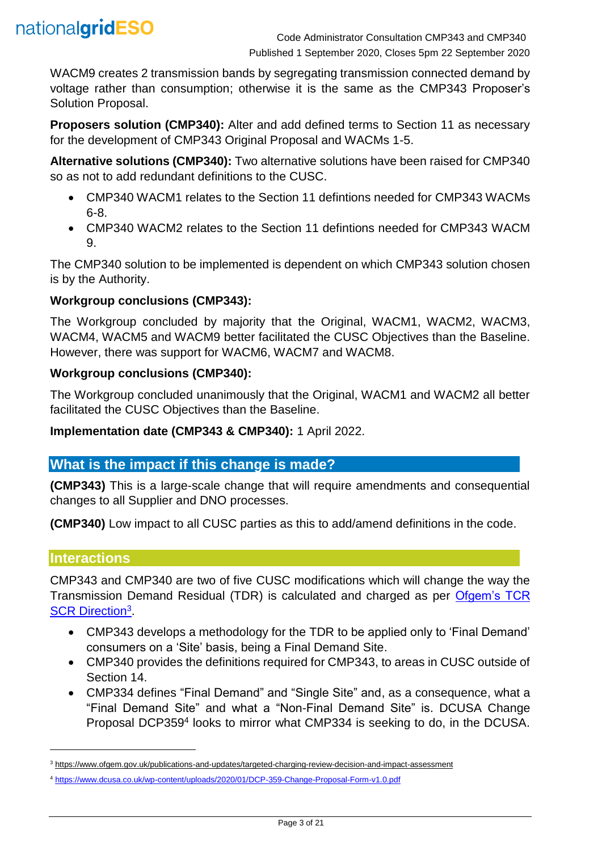

WACM9 creates 2 transmission bands by segregating transmission connected demand by voltage rather than consumption; otherwise it is the same as the CMP343 Proposer's Solution Proposal.

**Proposers solution (CMP340):** Alter and add defined terms to Section 11 as necessary for the development of CMP343 Original Proposal and WACMs 1-5.

**Alternative solutions (CMP340):** Two alternative solutions have been raised for CMP340 so as not to add redundant definitions to the CUSC.

- CMP340 WACM1 relates to the Section 11 defintions needed for CMP343 WACMs 6-8.
- CMP340 WACM2 relates to the Section 11 defintions needed for CMP343 WACM 9.

The CMP340 solution to be implemented is dependent on which CMP343 solution chosen is by the Authority.

# **Workgroup conclusions (CMP343):**

The Workgroup concluded by majority that the Original, WACM1, WACM2, WACM3, WACM4, WACM5 and WACM9 better facilitated the CUSC Objectives than the Baseline. However, there was support for WACM6, WACM7 and WACM8.

# **Workgroup conclusions (CMP340):**

The Workgroup concluded unanimously that the Original, WACM1 and WACM2 all better facilitated the CUSC Objectives than the Baseline.

**Implementation date (CMP343 & CMP340):** 1 April 2022.

# **What is the impact if this change is made?**

**(CMP343)** This is a large-scale change that will require amendments and consequential changes to all Supplier and DNO processes.

**(CMP340)** Low impact to all CUSC parties as this to add/amend definitions in the code.

# **Interactions**

l

CMP343 and CMP340 are two of five CUSC modifications which will change the way the Transmission Demand Residual (TDR) is calculated and charged as per [Ofgem's TCR](https://www.ofgem.gov.uk/publications-and-updates/targeted-charging-review-decision-and-impact-assessment)  [SCR Direction](https://www.ofgem.gov.uk/publications-and-updates/targeted-charging-review-decision-and-impact-assessment)<sup>3</sup>

- CMP343 develops a methodology for the TDR to be applied only to 'Final Demand' consumers on a 'Site' basis, being a Final Demand Site.
- CMP340 provides the definitions required for CMP343, to areas in CUSC outside of Section 14.
- CMP334 defines "Final Demand" and "Single Site" and, as a consequence, what a "Final Demand Site" and what a "Non-Final Demand Site" is. DCUSA Change Proposal DCP359<sup>4</sup> looks to mirror what CMP334 is seeking to do, in the DCUSA.

<sup>3</sup> <https://www.ofgem.gov.uk/publications-and-updates/targeted-charging-review-decision-and-impact-assessment>

<sup>4</sup> <https://www.dcusa.co.uk/wp-content/uploads/2020/01/DCP-359-Change-Proposal-Form-v1.0.pdf>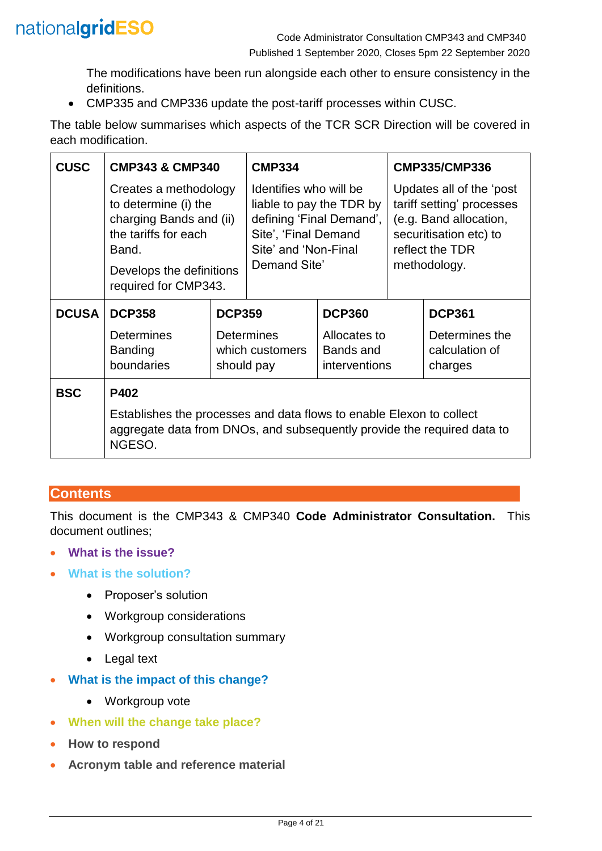

The modifications have been run alongside each other to ensure consistency in the definitions.

• CMP335 and CMP336 update the post-tariff processes within CUSC.

The table below summarises which aspects of the TCR SCR Direction will be covered in each modification.

| <b>CUSC</b>  | <b>CMP343 &amp; CMP340</b>                                                                                                                                    |               | <b>CMP334</b>                                                                                                                                  |                                            | <b>CMP335/CMP336</b>                                                                                                                         |                                             |
|--------------|---------------------------------------------------------------------------------------------------------------------------------------------------------------|---------------|------------------------------------------------------------------------------------------------------------------------------------------------|--------------------------------------------|----------------------------------------------------------------------------------------------------------------------------------------------|---------------------------------------------|
|              | Creates a methodology<br>to determine (i) the<br>charging Bands and (ii)<br>the tariffs for each<br>Band.<br>Develops the definitions<br>required for CMP343. |               | Identifies who will be<br>liable to pay the TDR by<br>defining 'Final Demand',<br>Site', 'Final Demand<br>Site' and 'Non-Final<br>Demand Site' |                                            | Updates all of the 'post<br>tariff setting' processes<br>(e.g. Band allocation,<br>securitisation etc) to<br>reflect the TDR<br>methodology. |                                             |
| <b>DCUSA</b> | <b>DCP358</b>                                                                                                                                                 | <b>DCP359</b> |                                                                                                                                                | <b>DCP360</b>                              |                                                                                                                                              | <b>DCP361</b>                               |
|              | <b>Determines</b><br><b>Banding</b><br>boundaries                                                                                                             |               | <b>Determines</b><br>which customers<br>should pay                                                                                             | Allocates to<br>Bands and<br>interventions |                                                                                                                                              | Determines the<br>calculation of<br>charges |
| <b>BSC</b>   | P402                                                                                                                                                          |               |                                                                                                                                                |                                            |                                                                                                                                              |                                             |
|              | Establishes the processes and data flows to enable Elexon to collect<br>aggregate data from DNOs, and subsequently provide the required data to<br>NGESO.     |               |                                                                                                                                                |                                            |                                                                                                                                              |                                             |

# **Contents**

This document is the CMP343 & CMP340 **Code Administrator Consultation.** This document outlines;

- **What is the issue?**
- **What is the solution?**
	- Proposer's solution
	- Workgroup considerations
	- Workgroup consultation summary
	- Legal text
- **What is the impact of this change?**
	- Workgroup vote
- **When will the change take place?**
- **How to respond**
- **Acronym table and reference material**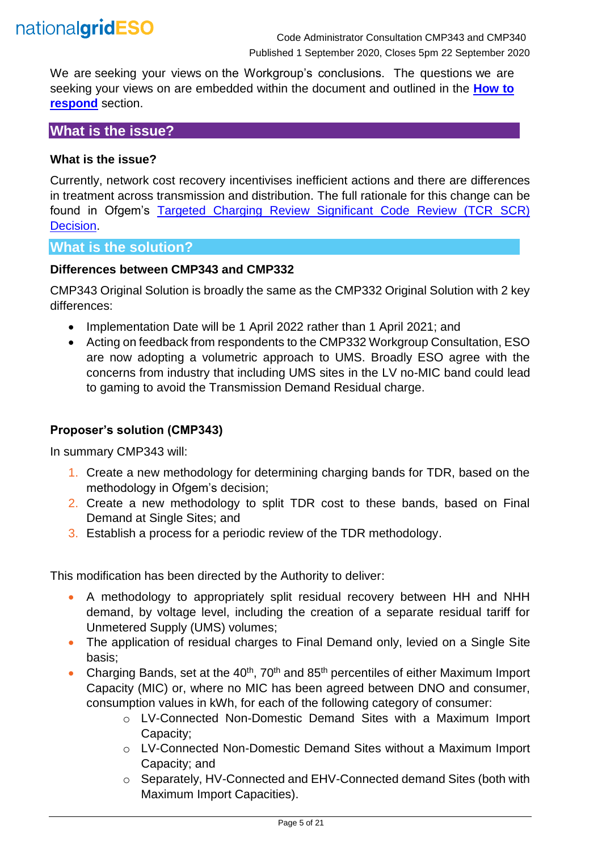

We are seeking your views on the Workgroup's conclusions. The questions we are seeking your views on are embedded within the document and outlined in the **How to respond** section.

# **What is the issue?**

#### **What is the issue?**

Currently, network cost recovery incentivises inefficient actions and there are differences in treatment across transmission and distribution. The full rationale for this change can be found in Ofgem's Targeted Charging Review Significant Code Review (TCR SCR) [Decision.](https://www.ofgem.gov.uk/system/files/docs/2019/12/full_decision_doc_updated.pdf)

**What is the solution?**

#### **Differences between CMP343 and CMP332**

CMP343 Original Solution is broadly the same as the CMP332 Original Solution with 2 key differences:

- Implementation Date will be 1 April 2022 rather than 1 April 2021; and
- Acting on feedback from respondents to the CMP332 Workgroup Consultation, ESO are now adopting a volumetric approach to UMS. Broadly ESO agree with the concerns from industry that including UMS sites in the LV no-MIC band could lead to gaming to avoid the Transmission Demand Residual charge.

### **Proposer's solution (CMP343)**

In summary CMP343 will:

- 1. Create a new methodology for determining charging bands for TDR, based on the methodology in Ofgem's decision:
- 2. Create a new methodology to split TDR cost to these bands, based on Final Demand at Single Sites; and
- 3. Establish a process for a periodic review of the TDR methodology.

This modification has been directed by the Authority to deliver:

- A methodology to appropriately split residual recovery between HH and NHH demand, by voltage level, including the creation of a separate residual tariff for Unmetered Supply (UMS) volumes;
- The application of residual charges to Final Demand only, levied on a Single Site basis;
- Charging Bands, set at the  $40<sup>th</sup>$ , 70<sup>th</sup> and 85<sup>th</sup> percentiles of either Maximum Import Capacity (MIC) or, where no MIC has been agreed between DNO and consumer, consumption values in kWh, for each of the following category of consumer:
	- o LV-Connected Non-Domestic Demand Sites with a Maximum Import Capacity;
	- o LV-Connected Non-Domestic Demand Sites without a Maximum Import Capacity; and
	- o Separately, HV-Connected and EHV-Connected demand Sites (both with Maximum Import Capacities).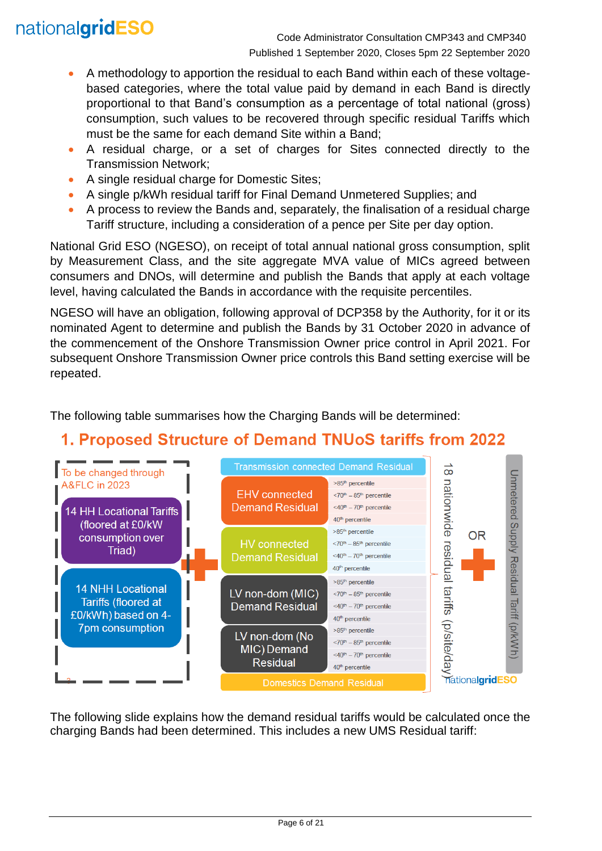# nationalgridESO

Code Administrator Consultation CMP343 and CMP340 Published 1 September 2020, Closes 5pm 22 September 2020

- A methodology to apportion the residual to each Band within each of these voltagebased categories, where the total value paid by demand in each Band is directly proportional to that Band's consumption as a percentage of total national (gross) consumption, such values to be recovered through specific residual Tariffs which must be the same for each demand Site within a Band;
- A residual charge, or a set of charges for Sites connected directly to the Transmission Network;
- A single residual charge for Domestic Sites;
- A single p/kWh residual tariff for Final Demand Unmetered Supplies; and
- A process to review the Bands and, separately, the finalisation of a residual charge Tariff structure, including a consideration of a pence per Site per day option.

National Grid ESO (NGESO), on receipt of total annual national gross consumption, split by Measurement Class, and the site aggregate MVA value of MICs agreed between consumers and DNOs, will determine and publish the Bands that apply at each voltage level, having calculated the Bands in accordance with the requisite percentiles.

NGESO will have an obligation, following approval of DCP358 by the Authority, for it or its nominated Agent to determine and publish the Bands by 31 October 2020 in advance of the commencement of the Onshore Transmission Owner price control in April 2021. For subsequent Onshore Transmission Owner price controls this Band setting exercise will be repeated.

The following table summarises how the Charging Bands will be determined:



# 1. Proposed Structure of Demand TNUoS tariffs from 2022

The following slide explains how the demand residual tariffs would be calculated once the charging Bands had been determined. This includes a new UMS Residual tariff: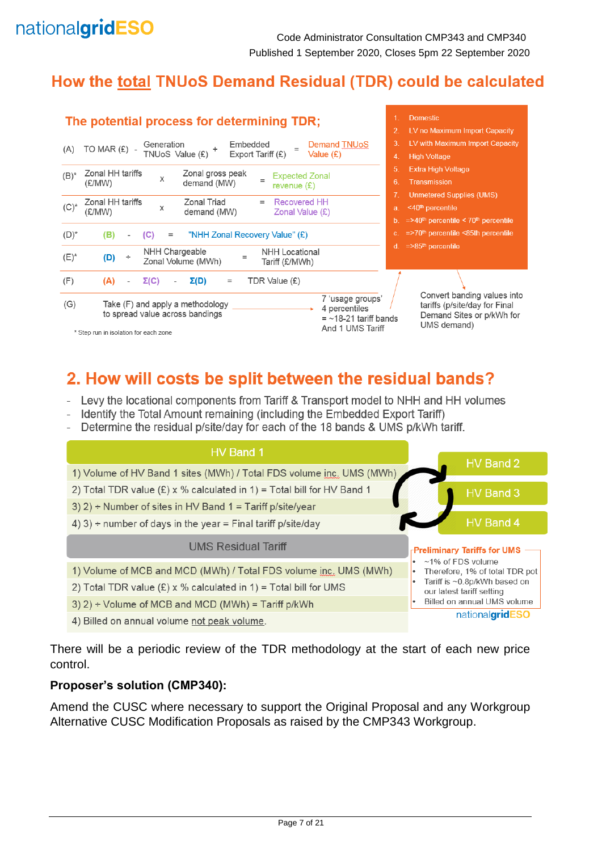

# How the total TNUoS Demand Residual (TDR) could be calculated

|         | The potential process for determining TDR;                                                                       | <b>Domestic</b>                                                                           |
|---------|------------------------------------------------------------------------------------------------------------------|-------------------------------------------------------------------------------------------|
|         |                                                                                                                  | LV no Maximum Import Capacity<br>2.                                                       |
| (A)     | Demand TNUoS<br>Embedded<br>Generation<br>TO MAR (£) -                                                           | 3.<br>LV with Maximum Import Capacity                                                     |
|         | TNUoS Value (£)<br>Export Tariff $(E)$<br>Value $(E)$                                                            | <b>High Voltage</b><br>4.                                                                 |
| $(B)^*$ | Zonal HH tariffs<br>Zonal gross peak<br><b>Expected Zonal</b>                                                    | 5.<br><b>Extra High Voltage</b>                                                           |
|         | X<br>$=$<br>demand (MW)<br>(E/MW)<br>revenue $(E)$                                                               | 6.<br>Transmission                                                                        |
|         |                                                                                                                  | <b>Unmetered Supplies (UMS)</b><br>7.                                                     |
| $(C)^*$ | Zonal HH tariffs<br>Zonal Triad<br><b>Recovered HH</b><br>$=$<br>Χ<br>(E/MW)<br>demand (MW)<br>Zonal Value $(E)$ | <40 <sup>th</sup> percentile<br>a.                                                        |
|         |                                                                                                                  | $=$ >40 <sup>th</sup> percentile < 70 <sup>th</sup> percentile<br>b.                      |
| $(D)^*$ | "NHH Zonal Recovery Value" (£)<br>(B)<br>(C)<br>$=$                                                              | =>70 <sup>th</sup> percentile <85th percentile<br>$c_{-}$                                 |
|         | NHH Chargeable<br>NHH Locational                                                                                 | $=$ >85 <sup>th</sup> percentile<br>d.                                                    |
| $(E)^*$ | (D)<br>$\div$<br>$=$<br>Zonal Volume (MWh)<br>Tariff (£/MWh)                                                     |                                                                                           |
| (F)     | TDR Value (£)<br>(A)<br>$\Sigma(C)$<br>$\Sigma(D)$<br>$=$<br>$\overline{\phantom{0}}$                            |                                                                                           |
| (G)     | 7 'usage groups'<br>Take (F) and apply a methodology<br>4 percentiles<br>to spread value across bandings         | Convert banding values into<br>tariffs (p/site/day for Final<br>Demand Sites or p/kWh for |
|         | $=$ ~18-21 tariff bands<br>And 1 UMS Tariff<br>* Step run in isolation for each zone                             | UMS demand)                                                                               |

# 2. How will costs be split between the residual bands?

- Levy the locational components from Tariff & Transport model to NHH and HH volumes
- Identify the Total Amount remaining (including the Embedded Export Tariff)
- Determine the residual p/site/day for each of the 18 bands & UMS p/kWh tariff.



There will be a periodic review of the TDR methodology at the start of each new price control.

#### **Proposer's solution (CMP340):**

Amend the CUSC where necessary to support the Original Proposal and any Workgroup Alternative CUSC Modification Proposals as raised by the CMP343 Workgroup.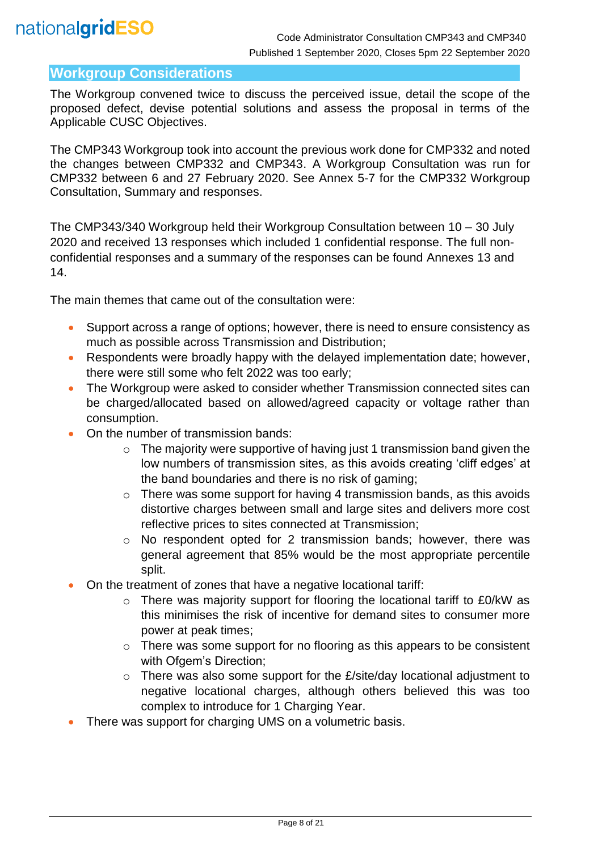

# **Workgroup Considerations**

The Workgroup convened twice to discuss the perceived issue, detail the scope of the proposed defect, devise potential solutions and assess the proposal in terms of the Applicable CUSC Objectives.

The CMP343 Workgroup took into account the previous work done for CMP332 and noted the changes between CMP332 and CMP343. A Workgroup Consultation was run for CMP332 between 6 and 27 February 2020. See Annex 5-7 for the CMP332 Workgroup Consultation, Summary and responses.

The CMP343/340 Workgroup held their Workgroup Consultation between 10 – 30 July 2020 and received 13 responses which included 1 confidential response. The full nonconfidential responses and a summary of the responses can be found Annexes 13 and 14.

The main themes that came out of the consultation were:

- Support across a range of options; however, there is need to ensure consistency as much as possible across Transmission and Distribution;
- Respondents were broadly happy with the delayed implementation date; however, there were still some who felt 2022 was too early;
- The Workgroup were asked to consider whether Transmission connected sites can be charged/allocated based on allowed/agreed capacity or voltage rather than consumption.
- On the number of transmission bands:
	- $\circ$  The majority were supportive of having just 1 transmission band given the low numbers of transmission sites, as this avoids creating 'cliff edges' at the band boundaries and there is no risk of gaming;
	- o There was some support for having 4 transmission bands, as this avoids distortive charges between small and large sites and delivers more cost reflective prices to sites connected at Transmission;
	- o No respondent opted for 2 transmission bands; however, there was general agreement that 85% would be the most appropriate percentile split.
- On the treatment of zones that have a negative locational tariff:
	- o There was majority support for flooring the locational tariff to £0/kW as this minimises the risk of incentive for demand sites to consumer more power at peak times;
	- o There was some support for no flooring as this appears to be consistent with Ofgem's Direction;
	- $\circ$  There was also some support for the  $E\$ site/day locational adjustment to negative locational charges, although others believed this was too complex to introduce for 1 Charging Year.
- There was support for charging UMS on a volumetric basis.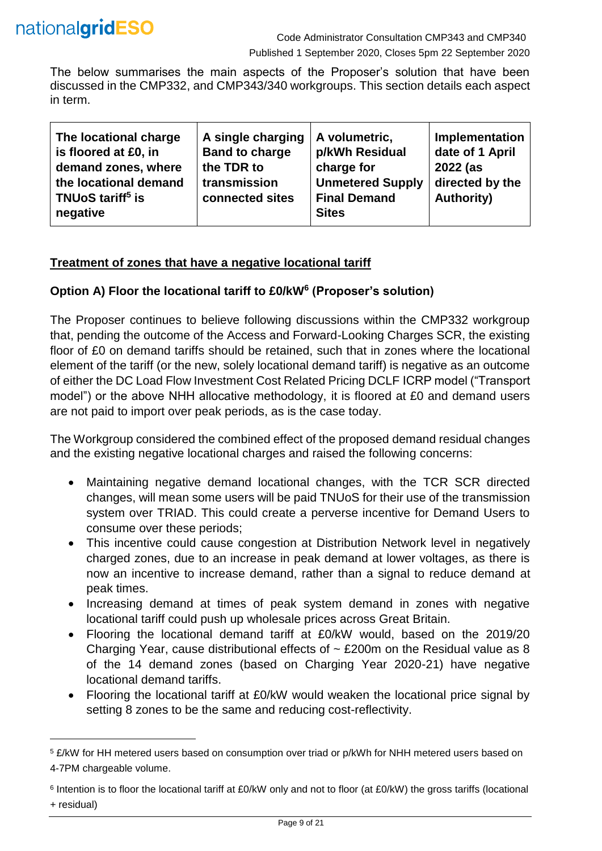

l

The below summarises the main aspects of the Proposer's solution that have been discussed in the CMP332, and CMP343/340 workgroups. This section details each aspect in term.

# **Treatment of zones that have a negative locational tariff**

#### **Option A) Floor the locational tariff to £0/kW<sup>6</sup> (Proposer's solution)**

The Proposer continues to believe following discussions within the CMP332 workgroup that, pending the outcome of the Access and Forward-Looking Charges SCR, the existing floor of £0 on demand tariffs should be retained, such that in zones where the locational element of the tariff (or the new, solely locational demand tariff) is negative as an outcome of either the DC Load Flow Investment Cost Related Pricing DCLF ICRP model ("Transport model") or the above NHH allocative methodology, it is floored at £0 and demand users are not paid to import over peak periods, as is the case today.

The Workgroup considered the combined effect of the proposed demand residual changes and the existing negative locational charges and raised the following concerns:

- Maintaining negative demand locational changes, with the TCR SCR directed changes, will mean some users will be paid TNUoS for their use of the transmission system over TRIAD. This could create a perverse incentive for Demand Users to consume over these periods;
- This incentive could cause congestion at Distribution Network level in negatively charged zones, due to an increase in peak demand at lower voltages, as there is now an incentive to increase demand, rather than a signal to reduce demand at peak times.
- Increasing demand at times of peak system demand in zones with negative locational tariff could push up wholesale prices across Great Britain.
- Flooring the locational demand tariff at £0/kW would, based on the 2019/20 Charging Year, cause distributional effects of  $\sim$  £200m on the Residual value as 8 of the 14 demand zones (based on Charging Year 2020-21) have negative locational demand tariffs.
- Flooring the locational tariff at £0/kW would weaken the locational price signal by setting 8 zones to be the same and reducing cost-reflectivity.

<sup>5</sup> £/kW for HH metered users based on consumption over triad or p/kWh for NHH metered users based on 4-7PM chargeable volume.

<sup>6</sup> Intention is to floor the locational tariff at £0/kW only and not to floor (at £0/kW) the gross tariffs (locational + residual)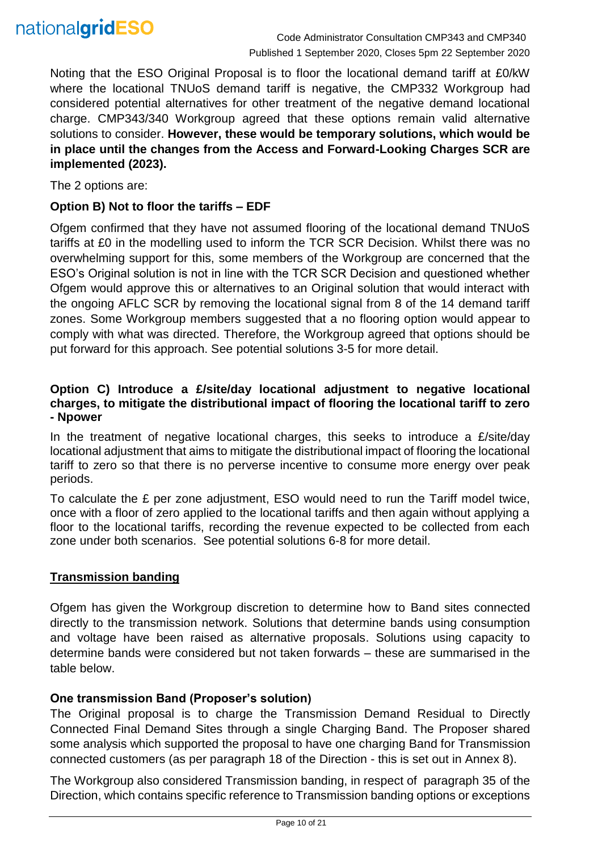

Noting that the ESO Original Proposal is to floor the locational demand tariff at £0/kW where the locational TNUoS demand tariff is negative, the CMP332 Workgroup had considered potential alternatives for other treatment of the negative demand locational charge. CMP343/340 Workgroup agreed that these options remain valid alternative solutions to consider. **However, these would be temporary solutions, which would be in place until the changes from the Access and Forward-Looking Charges SCR are implemented (2023).**

The 2 options are:

#### **Option B) Not to floor the tariffs – EDF**

Ofgem confirmed that they have not assumed flooring of the locational demand TNUoS tariffs at £0 in the modelling used to inform the TCR SCR Decision. Whilst there was no overwhelming support for this, some members of the Workgroup are concerned that the ESO's Original solution is not in line with the TCR SCR Decision and questioned whether Ofgem would approve this or alternatives to an Original solution that would interact with the ongoing AFLC SCR by removing the locational signal from 8 of the 14 demand tariff zones. Some Workgroup members suggested that a no flooring option would appear to comply with what was directed. Therefore, the Workgroup agreed that options should be put forward for this approach. See potential solutions 3-5 for more detail.

#### **Option C) Introduce a £/site/day locational adjustment to negative locational charges, to mitigate the distributional impact of flooring the locational tariff to zero - Npower**

In the treatment of negative locational charges, this seeks to introduce a  $E/\text{site}/\text{day}$ locational adjustment that aims to mitigate the distributional impact of flooring the locational tariff to zero so that there is no perverse incentive to consume more energy over peak periods.

To calculate the £ per zone adjustment, ESO would need to run the Tariff model twice, once with a floor of zero applied to the locational tariffs and then again without applying a floor to the locational tariffs, recording the revenue expected to be collected from each zone under both scenarios. See potential solutions 6-8 for more detail.

#### **Transmission banding**

Ofgem has given the Workgroup discretion to determine how to Band sites connected directly to the transmission network. Solutions that determine bands using consumption and voltage have been raised as alternative proposals. Solutions using capacity to determine bands were considered but not taken forwards – these are summarised in the table below.

#### **One transmission Band (Proposer's solution)**

The Original proposal is to charge the Transmission Demand Residual to Directly Connected Final Demand Sites through a single Charging Band. The Proposer shared some analysis which supported the proposal to have one charging Band for Transmission connected customers (as per paragraph 18 of the Direction - this is set out in Annex 8).

The Workgroup also considered Transmission banding, in respect of paragraph 35 of the Direction, which contains specific reference to Transmission banding options or exceptions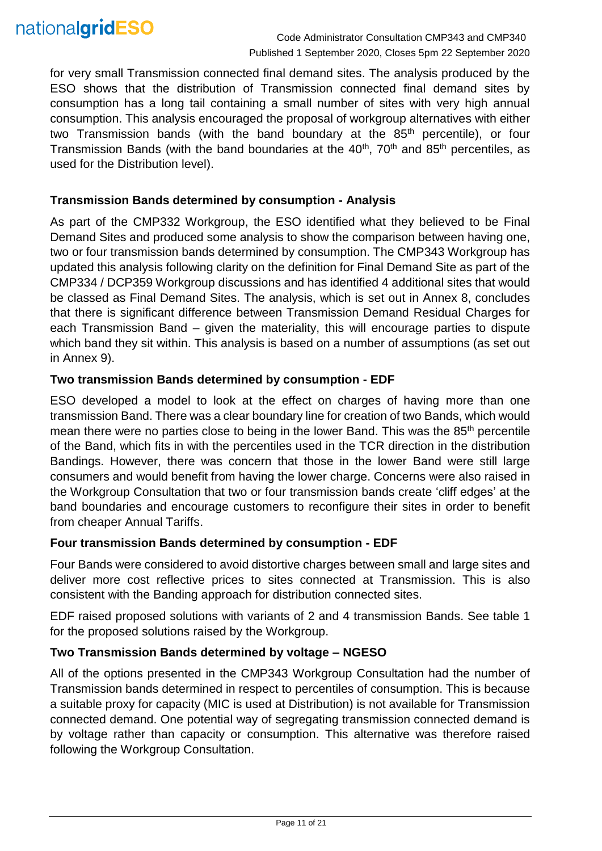

for very small Transmission connected final demand sites. The analysis produced by the ESO shows that the distribution of Transmission connected final demand sites by consumption has a long tail containing a small number of sites with very high annual consumption. This analysis encouraged the proposal of workgroup alternatives with either two Transmission bands (with the band boundary at the 85<sup>th</sup> percentile), or four Transmission Bands (with the band boundaries at the  $40<sup>th</sup>$ , 70<sup>th</sup> and 85<sup>th</sup> percentiles, as used for the Distribution level).

#### **Transmission Bands determined by consumption - Analysis**

As part of the CMP332 Workgroup, the ESO identified what they believed to be Final Demand Sites and produced some analysis to show the comparison between having one, two or four transmission bands determined by consumption. The CMP343 Workgroup has updated this analysis following clarity on the definition for Final Demand Site as part of the CMP334 / DCP359 Workgroup discussions and has identified 4 additional sites that would be classed as Final Demand Sites. The analysis, which is set out in Annex 8, concludes that there is significant difference between Transmission Demand Residual Charges for each Transmission Band – given the materiality, this will encourage parties to dispute which band they sit within. This analysis is based on a number of assumptions (as set out in Annex 9).

#### **Two transmission Bands determined by consumption - EDF**

ESO developed a model to look at the effect on charges of having more than one transmission Band. There was a clear boundary line for creation of two Bands, which would mean there were no parties close to being in the lower Band. This was the 85<sup>th</sup> percentile of the Band, which fits in with the percentiles used in the TCR direction in the distribution Bandings. However, there was concern that those in the lower Band were still large consumers and would benefit from having the lower charge. Concerns were also raised in the Workgroup Consultation that two or four transmission bands create 'cliff edges' at the band boundaries and encourage customers to reconfigure their sites in order to benefit from cheaper Annual Tariffs.

#### **Four transmission Bands determined by consumption - EDF**

Four Bands were considered to avoid distortive charges between small and large sites and deliver more cost reflective prices to sites connected at Transmission. This is also consistent with the Banding approach for distribution connected sites.

EDF raised proposed solutions with variants of 2 and 4 transmission Bands. See table 1 for the proposed solutions raised by the Workgroup.

#### **Two Transmission Bands determined by voltage – NGESO**

All of the options presented in the CMP343 Workgroup Consultation had the number of Transmission bands determined in respect to percentiles of consumption. This is because a suitable proxy for capacity (MIC is used at Distribution) is not available for Transmission connected demand. One potential way of segregating transmission connected demand is by voltage rather than capacity or consumption. This alternative was therefore raised following the Workgroup Consultation.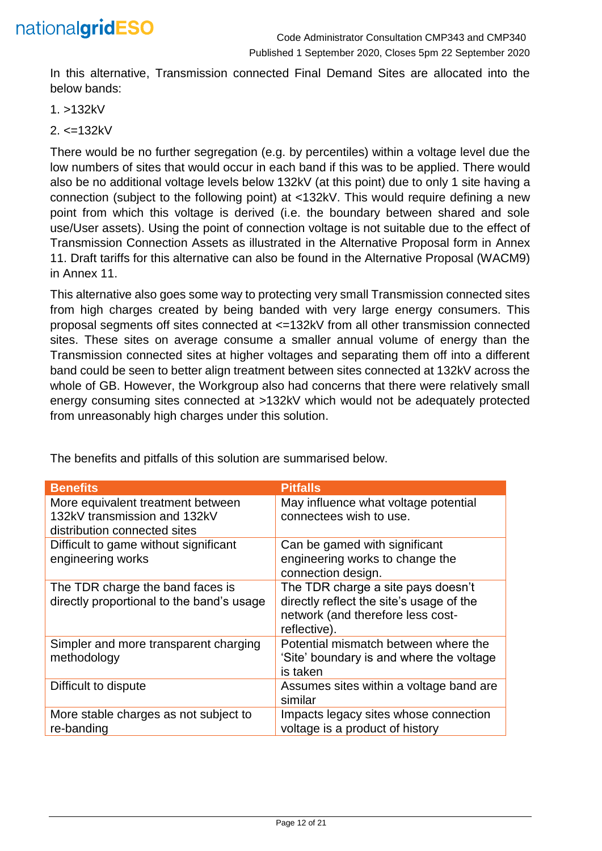

In this alternative, Transmission connected Final Demand Sites are allocated into the below bands:

1. >132kV

2. <=132kV

There would be no further segregation (e.g. by percentiles) within a voltage level due the low numbers of sites that would occur in each band if this was to be applied. There would also be no additional voltage levels below 132kV (at this point) due to only 1 site having a connection (subject to the following point) at <132kV. This would require defining a new point from which this voltage is derived (i.e. the boundary between shared and sole use/User assets). Using the point of connection voltage is not suitable due to the effect of Transmission Connection Assets as illustrated in the Alternative Proposal form in Annex 11. Draft tariffs for this alternative can also be found in the Alternative Proposal (WACM9) in Annex 11.

This alternative also goes some way to protecting very small Transmission connected sites from high charges created by being banded with very large energy consumers. This proposal segments off sites connected at <=132kV from all other transmission connected sites. These sites on average consume a smaller annual volume of energy than the Transmission connected sites at higher voltages and separating them off into a different band could be seen to better align treatment between sites connected at 132kV across the whole of GB. However, the Workgroup also had concerns that there were relatively small energy consuming sites connected at >132kV which would not be adequately protected from unreasonably high charges under this solution.

| <b>Benefits</b>                                                                                   | <b>Pitfalls</b>                                                                                                                     |
|---------------------------------------------------------------------------------------------------|-------------------------------------------------------------------------------------------------------------------------------------|
| More equivalent treatment between<br>132kV transmission and 132kV<br>distribution connected sites | May influence what voltage potential<br>connectees wish to use.                                                                     |
| Difficult to game without significant<br>engineering works                                        | Can be gamed with significant<br>engineering works to change the<br>connection design.                                              |
| The TDR charge the band faces is<br>directly proportional to the band's usage                     | The TDR charge a site pays doesn't<br>directly reflect the site's usage of the<br>network (and therefore less cost-<br>reflective). |
| Simpler and more transparent charging<br>methodology                                              | Potential mismatch between where the<br>'Site' boundary is and where the voltage<br>is taken                                        |
| Difficult to dispute                                                                              | Assumes sites within a voltage band are<br>similar                                                                                  |
| More stable charges as not subject to<br>re-banding                                               | Impacts legacy sites whose connection<br>voltage is a product of history                                                            |

The benefits and pitfalls of this solution are summarised below.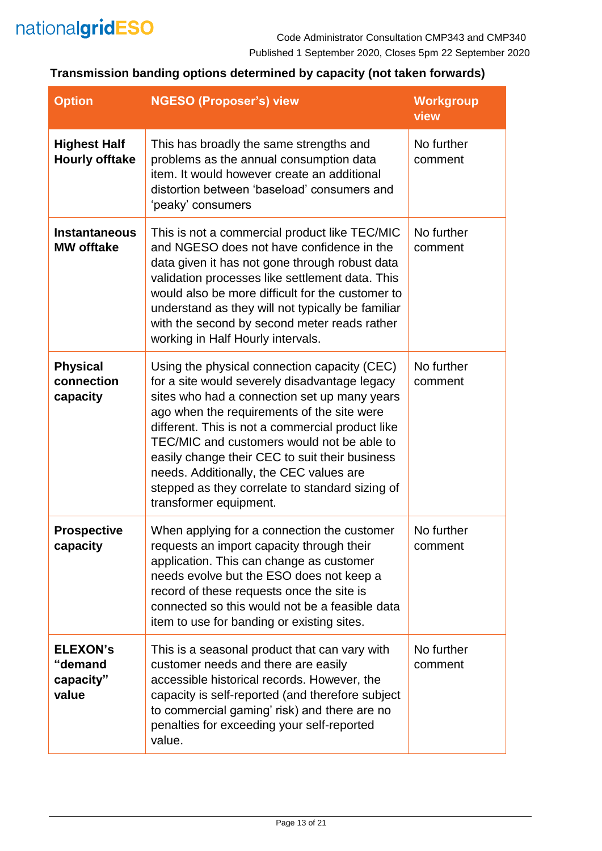

# **Transmission banding options determined by capacity (not taken forwards)**

| <b>Option</b>                                    | <b>NGESO (Proposer's) view</b>                                                                                                                                                                                                                                                                                                                                                                                                                                          | <b>Workgroup</b><br>view |
|--------------------------------------------------|-------------------------------------------------------------------------------------------------------------------------------------------------------------------------------------------------------------------------------------------------------------------------------------------------------------------------------------------------------------------------------------------------------------------------------------------------------------------------|--------------------------|
| <b>Highest Half</b><br><b>Hourly offtake</b>     | This has broadly the same strengths and<br>problems as the annual consumption data<br>item. It would however create an additional<br>distortion between 'baseload' consumers and<br>'peaky' consumers                                                                                                                                                                                                                                                                   | No further<br>comment    |
| <b>Instantaneous</b><br><b>MW offtake</b>        | This is not a commercial product like TEC/MIC<br>and NGESO does not have confidence in the<br>data given it has not gone through robust data<br>validation processes like settlement data. This<br>would also be more difficult for the customer to<br>understand as they will not typically be familiar<br>with the second by second meter reads rather<br>working in Half Hourly intervals.                                                                           | No further<br>comment    |
| <b>Physical</b><br>connection<br>capacity        | Using the physical connection capacity (CEC)<br>for a site would severely disadvantage legacy<br>sites who had a connection set up many years<br>ago when the requirements of the site were<br>different. This is not a commercial product like<br>TEC/MIC and customers would not be able to<br>easily change their CEC to suit their business<br>needs. Additionally, the CEC values are<br>stepped as they correlate to standard sizing of<br>transformer equipment. | No further<br>comment    |
| <b>Prospective</b><br>capacity                   | When applying for a connection the customer<br>requests an import capacity through their<br>application. This can change as customer<br>needs evolve but the ESO does not keep a<br>record of these requests once the site is<br>connected so this would not be a feasible data<br>item to use for banding or existing sites.                                                                                                                                           | No further<br>comment    |
| <b>ELEXON's</b><br>"demand<br>capacity"<br>value | This is a seasonal product that can vary with<br>customer needs and there are easily<br>accessible historical records. However, the<br>capacity is self-reported (and therefore subject<br>to commercial gaming' risk) and there are no<br>penalties for exceeding your self-reported<br>value.                                                                                                                                                                         | No further<br>comment    |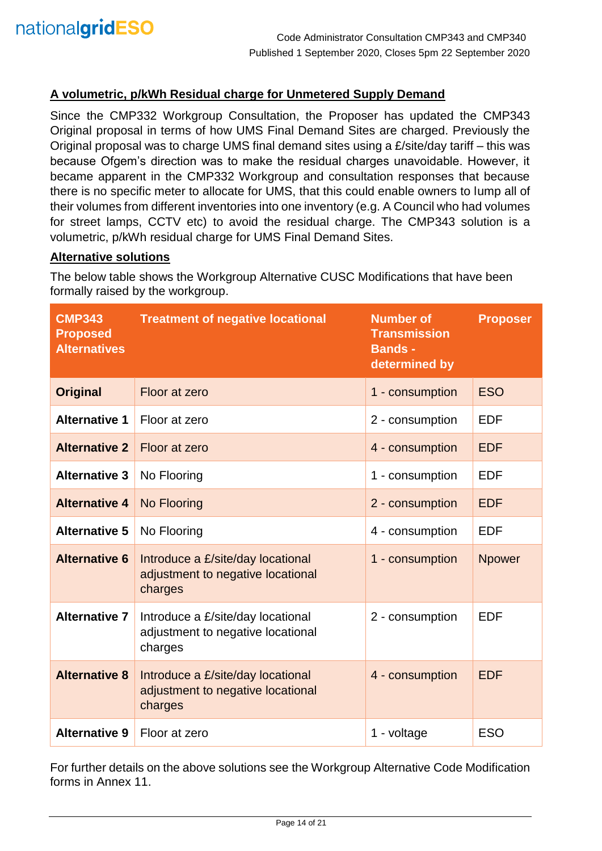# **A volumetric, p/kWh Residual charge for Unmetered Supply Demand**

Since the CMP332 Workgroup Consultation, the Proposer has updated the CMP343 Original proposal in terms of how UMS Final Demand Sites are charged. Previously the Original proposal was to charge UMS final demand sites using a £/site/day tariff – this was because Ofgem's direction was to make the residual charges unavoidable. However, it became apparent in the CMP332 Workgroup and consultation responses that because there is no specific meter to allocate for UMS, that this could enable owners to lump all of their volumes from different inventories into one inventory (e.g. A Council who had volumes for street lamps, CCTV etc) to avoid the residual charge. The CMP343 solution is a volumetric, p/kWh residual charge for UMS Final Demand Sites.

#### **Alternative solutions**

The below table shows the Workgroup Alternative CUSC Modifications that have been formally raised by the workgroup.

| <b>CMP343</b><br><b>Proposed</b><br><b>Alternatives</b> | <b>Treatment of negative locational</b>                                           | <b>Number of</b><br><b>Transmission</b><br><b>Bands -</b><br>determined by | <b>Proposer</b> |
|---------------------------------------------------------|-----------------------------------------------------------------------------------|----------------------------------------------------------------------------|-----------------|
| <b>Original</b>                                         | Floor at zero                                                                     | 1 - consumption                                                            | <b>ESO</b>      |
| <b>Alternative 1</b>                                    | Floor at zero                                                                     | 2 - consumption                                                            | <b>EDF</b>      |
| <b>Alternative 2</b>                                    | Floor at zero                                                                     | 4 - consumption                                                            | <b>EDF</b>      |
| <b>Alternative 3</b>                                    | No Flooring                                                                       | 1 - consumption                                                            | <b>EDF</b>      |
| <b>Alternative 4</b>                                    | No Flooring                                                                       | 2 - consumption                                                            | <b>EDF</b>      |
| <b>Alternative 5</b>                                    | No Flooring                                                                       | 4 - consumption                                                            | <b>EDF</b>      |
| <b>Alternative 6</b>                                    | Introduce a £/site/day locational<br>adjustment to negative locational<br>charges | 1 - consumption                                                            | <b>Npower</b>   |
| <b>Alternative 7</b>                                    | Introduce a £/site/day locational<br>adjustment to negative locational<br>charges | 2 - consumption                                                            | <b>EDF</b>      |
| <b>Alternative 8</b>                                    | Introduce a £/site/day locational<br>adjustment to negative locational<br>charges | 4 - consumption                                                            | <b>EDF</b>      |
| <b>Alternative 9</b>                                    | Floor at zero                                                                     | 1 - voltage                                                                | <b>ESO</b>      |

For further details on the above solutions see the Workgroup Alternative Code Modification forms in Annex 11.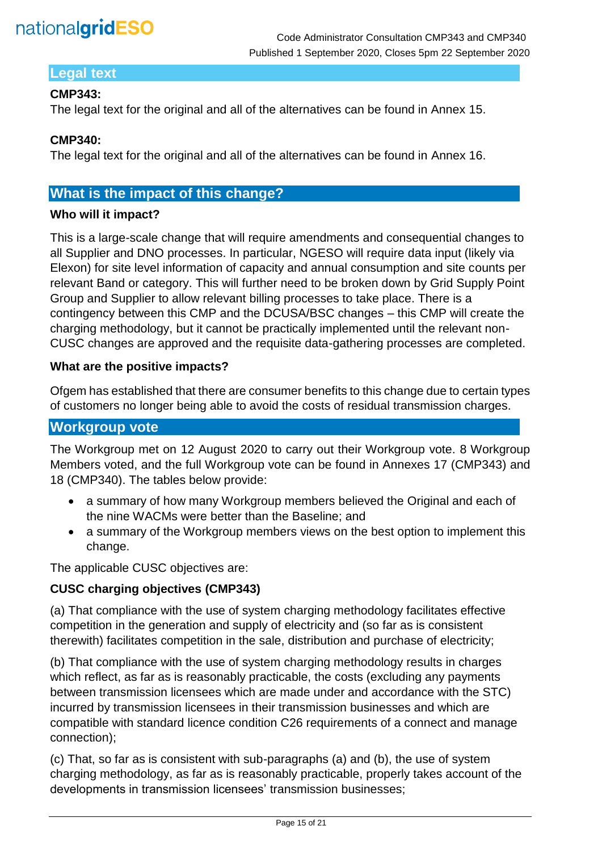

# **Legal text**

#### **CMP343:**

The legal text for the original and all of the alternatives can be found in Annex 15.

#### **CMP340:**

The legal text for the original and all of the alternatives can be found in Annex 16.

### **What is the impact of this change?**

#### **Who will it impact?**

This is a large-scale change that will require amendments and consequential changes to all Supplier and DNO processes. In particular, NGESO will require data input (likely via Elexon) for site level information of capacity and annual consumption and site counts per relevant Band or category. This will further need to be broken down by Grid Supply Point Group and Supplier to allow relevant billing processes to take place. There is a contingency between this CMP and the DCUSA/BSC changes – this CMP will create the charging methodology, but it cannot be practically implemented until the relevant non-CUSC changes are approved and the requisite data-gathering processes are completed.

#### **What are the positive impacts?**

Ofgem has established that there are consumer benefits to this change due to certain types of customers no longer being able to avoid the costs of residual transmission charges.

# **Workgroup vote**

The Workgroup met on 12 August 2020 to carry out their Workgroup vote. 8 Workgroup Members voted, and the full Workgroup vote can be found in Annexes 17 (CMP343) and 18 (CMP340). The tables below provide:

- a summary of how many Workgroup members believed the Original and each of the nine WACMs were better than the Baseline; and
- a summary of the Workgroup members views on the best option to implement this change.

The applicable CUSC objectives are:

#### **CUSC charging objectives (CMP343)**

(a) That compliance with the use of system charging methodology facilitates effective competition in the generation and supply of electricity and (so far as is consistent therewith) facilitates competition in the sale, distribution and purchase of electricity;

(b) That compliance with the use of system charging methodology results in charges which reflect, as far as is reasonably practicable, the costs (excluding any payments between transmission licensees which are made under and accordance with the STC) incurred by transmission licensees in their transmission businesses and which are compatible with standard licence condition C26 requirements of a connect and manage connection);

(c) That, so far as is consistent with sub-paragraphs (a) and (b), the use of system charging methodology, as far as is reasonably practicable, properly takes account of the developments in transmission licensees' transmission businesses;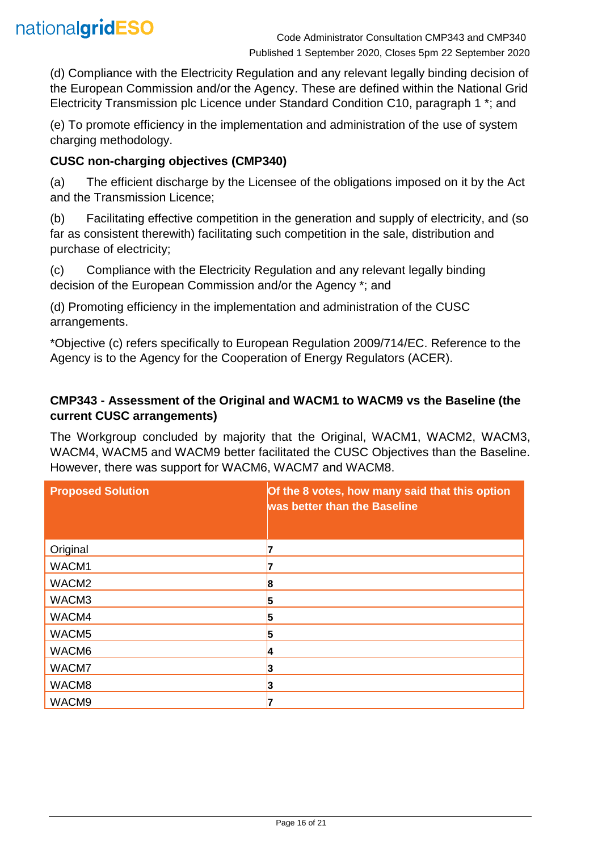

(d) Compliance with the Electricity Regulation and any relevant legally binding decision of the European Commission and/or the Agency. These are defined within the National Grid Electricity Transmission plc Licence under Standard Condition C10, paragraph 1 \*; and

(e) To promote efficiency in the implementation and administration of the use of system charging methodology.

### **CUSC non-charging objectives (CMP340)**

(a) The efficient discharge by the Licensee of the obligations imposed on it by the Act and the Transmission Licence;

(b) Facilitating effective competition in the generation and supply of electricity, and (so far as consistent therewith) facilitating such competition in the sale, distribution and purchase of electricity;

(c) Compliance with the Electricity Regulation and any relevant legally binding decision of the European Commission and/or the Agency \*; and

(d) Promoting efficiency in the implementation and administration of the CUSC arrangements.

\*Objective (c) refers specifically to European Regulation 2009/714/EC. Reference to the Agency is to the Agency for the Cooperation of Energy Regulators (ACER).

# **CMP343 - Assessment of the Original and WACM1 to WACM9 vs the Baseline (the current CUSC arrangements)**

The Workgroup concluded by majority that the Original, WACM1, WACM2, WACM3, WACM4, WACM5 and WACM9 better facilitated the CUSC Objectives than the Baseline. However, there was support for WACM6, WACM7 and WACM8.

| <b>Proposed Solution</b> | Of the 8 votes, how many said that this option<br>was better than the Baseline |
|--------------------------|--------------------------------------------------------------------------------|
| Original                 |                                                                                |
| WACM1                    |                                                                                |
| WACM <sub>2</sub>        | 8                                                                              |
| WACM3                    | 15                                                                             |
| WACM4                    | 5                                                                              |
| WACM5                    | 5                                                                              |
| WACM6                    |                                                                                |
| WACM7                    | 13                                                                             |
| WACM8                    | 13                                                                             |
| WACM9                    |                                                                                |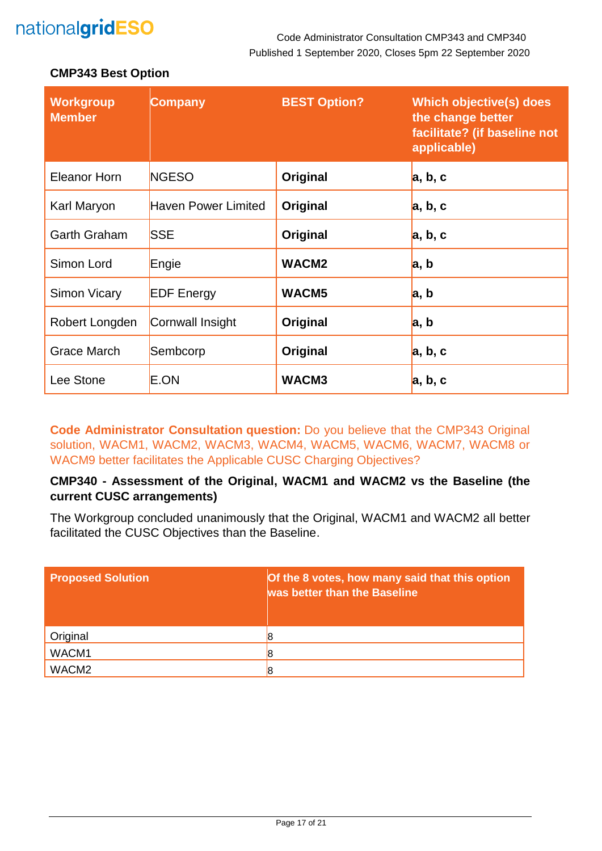# nationalgridESO

Code Administrator Consultation CMP343 and CMP340 Published 1 September 2020, Closes 5pm 22 September 2020

# **CMP343 Best Option**

| <b>Workgroup</b><br><b>Member</b> | <b>Company</b>             | <b>BEST Option?</b> | <b>Which objective(s) does</b><br>the change better<br>facilitate? (if baseline not<br>applicable) |
|-----------------------------------|----------------------------|---------------------|----------------------------------------------------------------------------------------------------|
| Eleanor Horn                      | <b>NGESO</b>               | Original            | a, b, c                                                                                            |
| Karl Maryon                       | <b>Haven Power Limited</b> | Original            | a, b, c                                                                                            |
| <b>Garth Graham</b>               | <b>SSE</b>                 | Original            | a, b, c                                                                                            |
| Simon Lord                        | Engie                      | WACM <sub>2</sub>   | a, b                                                                                               |
| <b>Simon Vicary</b>               | <b>EDF Energy</b>          | WACM <sub>5</sub>   | a, b                                                                                               |
| Robert Longden                    | Cornwall Insight           | Original            | a, b                                                                                               |
| Grace March                       | Sembcorp                   | Original            | a, b, c                                                                                            |
| Lee Stone                         | E.ON                       | WACM3               | a, b, c                                                                                            |

**Code Administrator Consultation question:** Do you believe that the CMP343 Original solution, WACM1, WACM2, WACM3, WACM4, WACM5, WACM6, WACM7, WACM8 or WACM9 better facilitates the Applicable CUSC Charging Objectives?

### **CMP340 - Assessment of the Original, WACM1 and WACM2 vs the Baseline (the current CUSC arrangements)**

The Workgroup concluded unanimously that the Original, WACM1 and WACM2 all better facilitated the CUSC Objectives than the Baseline.

| <b>Proposed Solution</b> | Of the 8 votes, how many said that this option<br>was better than the Baseline |
|--------------------------|--------------------------------------------------------------------------------|
| Original                 |                                                                                |
| WACM <sub>1</sub>        |                                                                                |
| WACM <sub>2</sub>        |                                                                                |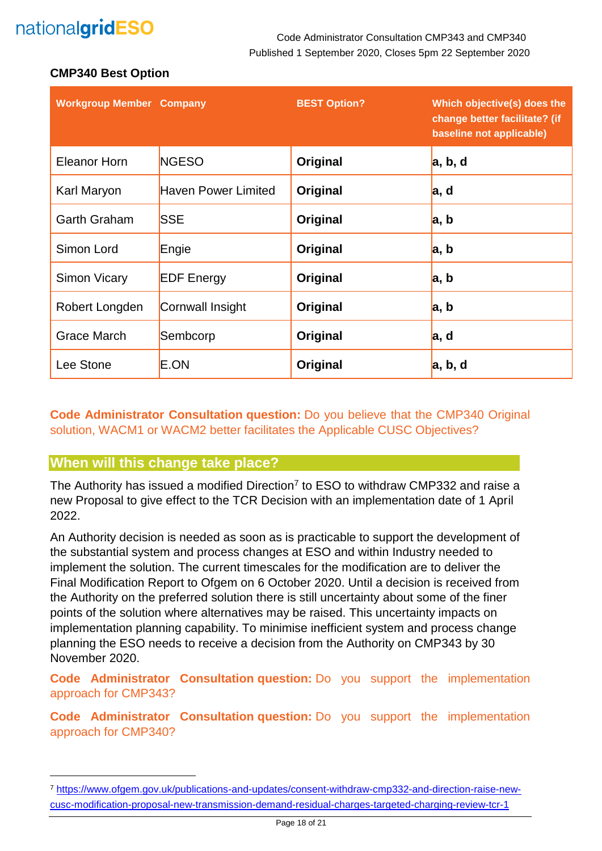# nationalgridESO

#### Code Administrator Consultation CMP343 and CMP340 Published 1 September 2020, Closes 5pm 22 September 2020

| <b>Workgroup Member Company</b> |                     | <b>BEST Option?</b> | Which objective(s) does the<br>change better facilitate? (if<br>baseline not applicable) |
|---------------------------------|---------------------|---------------------|------------------------------------------------------------------------------------------|
| <b>Eleanor Horn</b>             | <b>NGESO</b>        | Original            | a, b, d                                                                                  |
| Karl Maryon                     | Haven Power Limited | Original            | a, d                                                                                     |
| <b>Garth Graham</b>             | <b>SSE</b>          | Original            | a, b                                                                                     |
| Simon Lord                      | Engie               | Original            | a, b                                                                                     |
| <b>Simon Vicary</b>             | <b>EDF</b> Energy   | Original            | a, b                                                                                     |
| Robert Longden                  | Cornwall Insight    | Original            | a, b                                                                                     |
| Grace March                     | Sembcorp            | Original            | a, d                                                                                     |
| Lee Stone                       | E.ON                | Original            | a, b, d                                                                                  |

# **CMP340 Best Option**

# **Code Administrator Consultation question:** Do you believe that the CMP340 Original solution, WACM1 or WACM2 better facilitates the Applicable CUSC Objectives?

# **When will this change take place?**

l

The Authority has issued a modified Direction<sup>7</sup> to ESO to withdraw CMP332 and raise a new Proposal to give effect to the TCR Decision with an implementation date of 1 April 2022.

An Authority decision is needed as soon as is practicable to support the development of the substantial system and process changes at ESO and within Industry needed to implement the solution. The current timescales for the modification are to deliver the Final Modification Report to Ofgem on 6 October 2020. Until a decision is received from the Authority on the preferred solution there is still uncertainty about some of the finer points of the solution where alternatives may be raised. This uncertainty impacts on implementation planning capability. To minimise inefficient system and process change planning the ESO needs to receive a decision from the Authority on CMP343 by 30 November 2020.

**Code Administrator Consultation question:** Do you support the implementation approach for CMP343?

**Code Administrator Consultation question:** Do you support the implementation approach for CMP340?

<sup>7</sup> [https://www.ofgem.gov.uk/publications-and-updates/consent-withdraw-cmp332-and-direction-raise-new](https://www.ofgem.gov.uk/publications-and-updates/consent-withdraw-cmp332-and-direction-raise-new-cusc-modification-proposal-new-transmission-demand-residual-charges-targeted-charging-review-tcr-1)[cusc-modification-proposal-new-transmission-demand-residual-charges-targeted-charging-review-tcr-1](https://www.ofgem.gov.uk/publications-and-updates/consent-withdraw-cmp332-and-direction-raise-new-cusc-modification-proposal-new-transmission-demand-residual-charges-targeted-charging-review-tcr-1)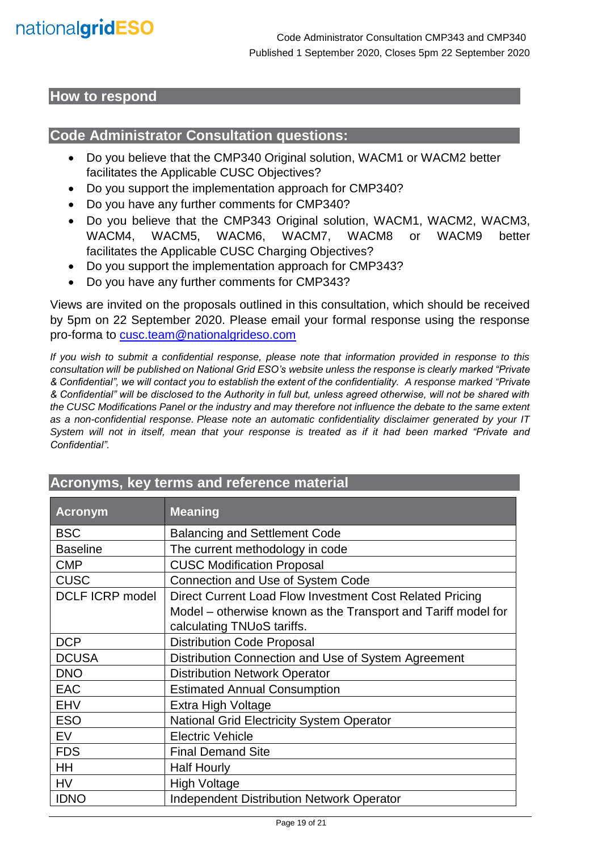

# **How to respond**

# **Code Administrator Consultation questions:**

- Do you believe that the CMP340 Original solution, WACM1 or WACM2 better facilitates the Applicable CUSC Objectives?
- Do you support the implementation approach for CMP340?
- Do you have any further comments for CMP340?
- Do you believe that the CMP343 Original solution, WACM1, WACM2, WACM3, WACM4, WACM5, WACM6, WACM7, WACM8 or WACM9 better facilitates the Applicable CUSC Charging Objectives?
- Do you support the implementation approach for CMP343?
- Do you have any further comments for CMP343?

Views are invited on the proposals outlined in this consultation, which should be received by 5pm on 22 September 2020. Please email your formal response using the response pro-forma to [cusc.team@nationalgrideso.com](mailto:cusc.team@nationalgrideso.com)

*If you wish to submit a confidential response, please note that information provided in response to this consultation will be published on National Grid ESO's website unless the response is clearly marked "Private & Confidential", we will contact you to establish the extent of the confidentiality. A response marked "Private & Confidential" will be disclosed to the Authority in full but, unless agreed otherwise, will not be shared with the CUSC Modifications Panel or the industry and may therefore not influence the debate to the same extent as a non-confidential response. Please note an automatic confidentiality disclaimer generated by your IT System will not in itself, mean that your response is treated as if it had been marked "Private and Confidential".*

| <b>Acronym</b>         | <b>Meaning</b>                                                |
|------------------------|---------------------------------------------------------------|
| <b>BSC</b>             | <b>Balancing and Settlement Code</b>                          |
| <b>Baseline</b>        | The current methodology in code                               |
| <b>CMP</b>             | <b>CUSC Modification Proposal</b>                             |
| <b>CUSC</b>            | Connection and Use of System Code                             |
| <b>DCLF ICRP model</b> | Direct Current Load Flow Investment Cost Related Pricing      |
|                        | Model – otherwise known as the Transport and Tariff model for |
|                        | calculating TNUoS tariffs.                                    |
| <b>DCP</b>             | <b>Distribution Code Proposal</b>                             |
| <b>DCUSA</b>           | Distribution Connection and Use of System Agreement           |
| <b>DNO</b>             | <b>Distribution Network Operator</b>                          |
| <b>EAC</b>             | <b>Estimated Annual Consumption</b>                           |
| <b>EHV</b>             | Extra High Voltage                                            |
| <b>ESO</b>             | <b>National Grid Electricity System Operator</b>              |
| <b>EV</b>              | <b>Electric Vehicle</b>                                       |
| <b>FDS</b>             | <b>Final Demand Site</b>                                      |
| <b>HH</b>              | <b>Half Hourly</b>                                            |
| <b>HV</b>              | <b>High Voltage</b>                                           |
| <b>IDNO</b>            | <b>Independent Distribution Network Operator</b>              |

# **Acronyms, key terms and reference material**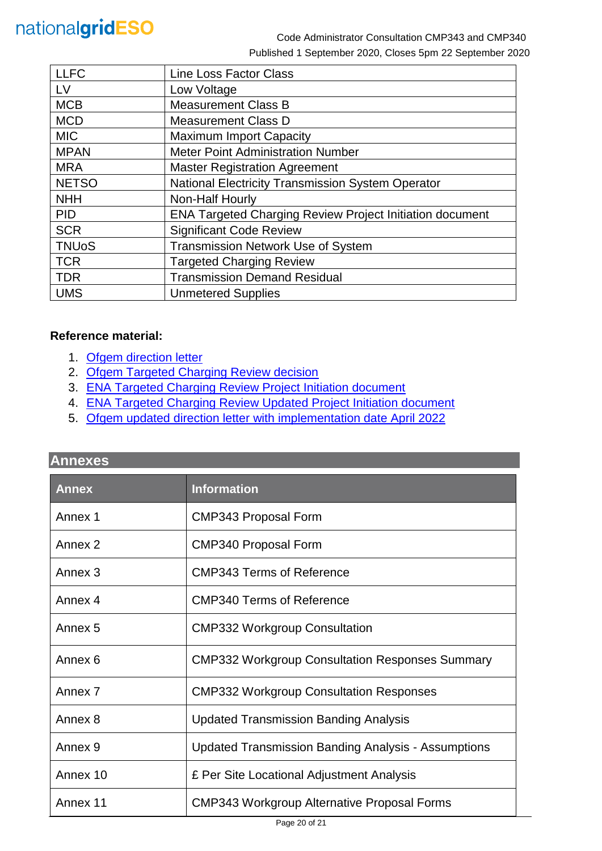

| <b>LLFC</b>  | <b>Line Loss Factor Class</b>                                   |
|--------------|-----------------------------------------------------------------|
| LV           | Low Voltage                                                     |
| <b>MCB</b>   | <b>Measurement Class B</b>                                      |
| <b>MCD</b>   | <b>Measurement Class D</b>                                      |
| <b>MIC</b>   | <b>Maximum Import Capacity</b>                                  |
| <b>MPAN</b>  | <b>Meter Point Administration Number</b>                        |
| <b>MRA</b>   | <b>Master Registration Agreement</b>                            |
| <b>NETSO</b> | National Electricity Transmission System Operator               |
| <b>NHH</b>   | Non-Half Hourly                                                 |
| <b>PID</b>   | <b>ENA Targeted Charging Review Project Initiation document</b> |
| <b>SCR</b>   | <b>Significant Code Review</b>                                  |
| <b>TNUoS</b> | <b>Transmission Network Use of System</b>                       |
| <b>TCR</b>   | <b>Targeted Charging Review</b>                                 |
| <b>TDR</b>   | <b>Transmission Demand Residual</b>                             |
| <b>UMS</b>   | <b>Unmetered Supplies</b>                                       |

#### **Reference material:**

- 1. [Ofgem direction letter](https://www.ofgem.gov.uk/system/files/docs/2019/11/cusc_direction_1.pdf)
- 2. [Ofgem Targeted Charging Review decision](https://www.ofgem.gov.uk/system/files/docs/2019/12/full_decision_doc_updated.pdf)
- 3. [ENA Targeted Charging Review Project Initiation document](https://urldefense.com/v3/__http:/www.chargingfutures.com/media/1390/tcr-joint-eso-dno-pid-v10.pdf__;!70_KdN2uTJA!iTCC0uKa-KGiJ-mbkt9wKAdUd4VEQgNAnFADH7gkPuWIOXPyWFJ25WItQW-c8yUgXR06uw$)
- 4. [ENA Targeted Charging Review Updated Project Initiation document](http://www.chargingfutures.com/media/1444/tcr-joint-eso-dno-pid-update-v11.pdf)
- 5. Ofgem updated direction letter [with implementation date April 2022](https://www.ofgem.gov.uk/publications-and-updates/consent-withdraw-cmp332-and-direction-raise-new-cusc-modification-proposal-new-transmission-demand-residual-charges-targeted-charging-review-tcr-1)

| <b>Annexes</b>     |                                                        |  |
|--------------------|--------------------------------------------------------|--|
| <b>Annex</b>       | <b>Information</b>                                     |  |
| Annex 1            | CMP343 Proposal Form                                   |  |
| Annex <sub>2</sub> | CMP340 Proposal Form                                   |  |
| Annex <sub>3</sub> | <b>CMP343 Terms of Reference</b>                       |  |
| Annex 4            | <b>CMP340 Terms of Reference</b>                       |  |
| Annex <sub>5</sub> | <b>CMP332 Workgroup Consultation</b>                   |  |
| Annex <sub>6</sub> | <b>CMP332 Workgroup Consultation Responses Summary</b> |  |
| Annex <sub>7</sub> | <b>CMP332 Workgroup Consultation Responses</b>         |  |
| Annex 8            | <b>Updated Transmission Banding Analysis</b>           |  |
| Annex <sub>9</sub> | Updated Transmission Banding Analysis - Assumptions    |  |
| Annex 10           | £ Per Site Locational Adjustment Analysis              |  |
| Annex 11           | CMP343 Workgroup Alternative Proposal Forms            |  |

### **Annexes**